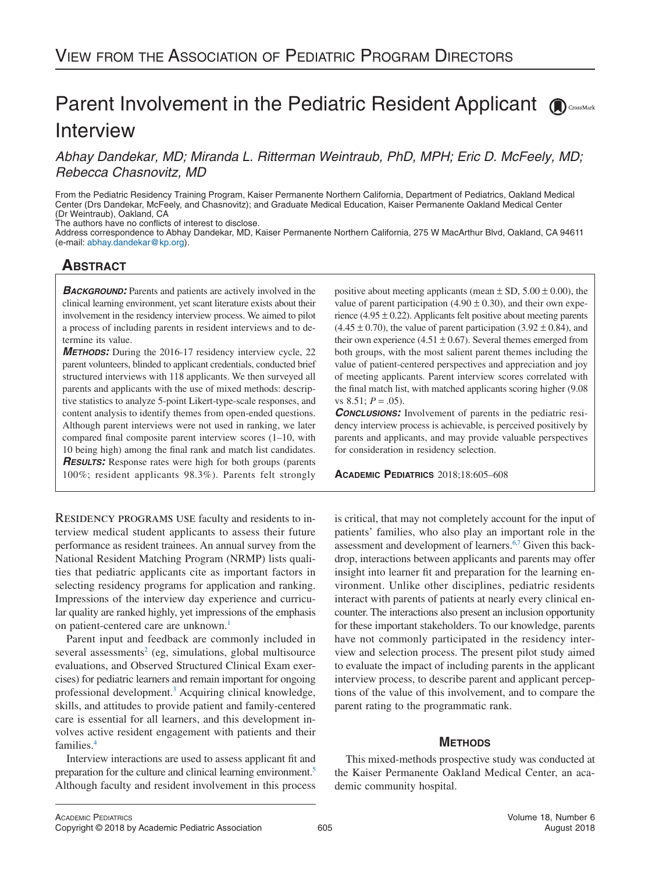# Parent Involvement in the Pediatric Resident Applicant ( **Interview**

*Abhay Dandekar, MD; Miranda L. Ritterman Weintraub, PhD, MPH; Eric D. McFeely, MD; Rebecca Chasnovitz, MD*

From the Pediatric Residency Training Program, Kaiser Permanente Northern California, Department of Pediatrics, Oakland Medical Center (Drs Dandekar, McFeely, and Chasnovitz); and Graduate Medical Education, Kaiser Permanente Oakland Medical Center (Dr Weintraub), Oakland, CA

The authors have no conflicts of interest to disclose.

Address correspondence to Abhay Dandekar, MD, Kaiser Permanente Northern California, 275 W MacArthur Blvd, Oakland, CA 94611 (e-mail: [abhay.dandekar@kp.org\)](mailto:abhay.dandekar@kp.org).

# **ABSTRACT**

**BACKGROUND:** Parents and patients are actively involved in the clinical learning environment, yet scant literature exists about their involvement in the residency interview process. We aimed to pilot a process of including parents in resident interviews and to determine its value.

*METHODS:* During the 2016-17 residency interview cycle, 22 parent volunteers, blinded to applicant credentials, conducted brief structured interviews with 118 applicants. We then surveyed all parents and applicants with the use of mixed methods: descriptive statistics to analyze 5-point Likert-type-scale responses, and content analysis to identify themes from open-ended questions. Although parent interviews were not used in ranking, we later compared final composite parent interview scores (1–10, with 10 being high) among the final rank and match list candidates. *RESULTS:* Response rates were high for both groups (parents 100%; resident applicants 98.3%). Parents felt strongly

Residency programs use faculty and residents to interview medical student applicants to assess their future performance as resident trainees. An annual survey from the National Resident Matching Program (NRMP) lists qualities that pediatric applicants cite as important factors in selecting residency programs for application and ranking. Impressions of the interview day experience and curricular quality are ranked highly, yet impressions of the emphasis on patient-centered care are unknown.<sup>1</sup>

Parent input and feedback are commonly included in several assessments<sup>2</sup> (eg, simulations, global multisource evaluations, and Observed Structured Clinical Exam exercises) for pediatric learners and remain important for ongoing professional development[.3](#page-3-2) Acquiring clinical knowledge, skills, and attitudes to provide patient and family-centered care is essential for all learners, and this development involves active resident engagement with patients and their families[.4](#page-3-3)

Interview interactions are used to assess applicant fit and preparation for the culture and clinical learning environment[.5](#page-3-4) Although faculty and resident involvement in this process positive about meeting applicants (mean  $\pm$  SD, 5.00  $\pm$  0.00), the value of parent participation (4.90  $\pm$  0.30), and their own experience (4.95  $\pm$  0.22). Applicants felt positive about meeting parents  $(4.45 \pm 0.70)$ , the value of parent participation  $(3.92 \pm 0.84)$ , and their own experience (4.51  $\pm$  0.67). Several themes emerged from both groups, with the most salient parent themes including the value of patient-centered perspectives and appreciation and joy of meeting applicants. Parent interview scores correlated with the final match list, with matched applicants scoring higher (9.08 vs  $8.51$ ;  $P = .05$ ).

*CONCLUSIONS:* Involvement of parents in the pediatric residency interview process is achievable, is perceived positively by parents and applicants, and may provide valuable perspectives for consideration in residency selection.

**ACADEMIC PEDIATRICS** 2018;18:605–608

is critical, that may not completely account for the input of patients' families, who also play an important role in the assessment and development of learners.<sup>6,7</sup> Given this backdrop, interactions between applicants and parents may offer insight into learner fit and preparation for the learning environment. Unlike other disciplines, pediatric residents interact with parents of patients at nearly every clinical encounter. The interactions also present an inclusion opportunity for these important stakeholders. To our knowledge, parents have not commonly participated in the residency interview and selection process. The present pilot study aimed to evaluate the impact of including parents in the applicant interview process, to describe parent and applicant perceptions of the value of this involvement, and to compare the parent rating to the programmatic rank.

# **METHODS**

This mixed-methods prospective study was conducted at the Kaiser Permanente Oakland Medical Center, an academic community hospital.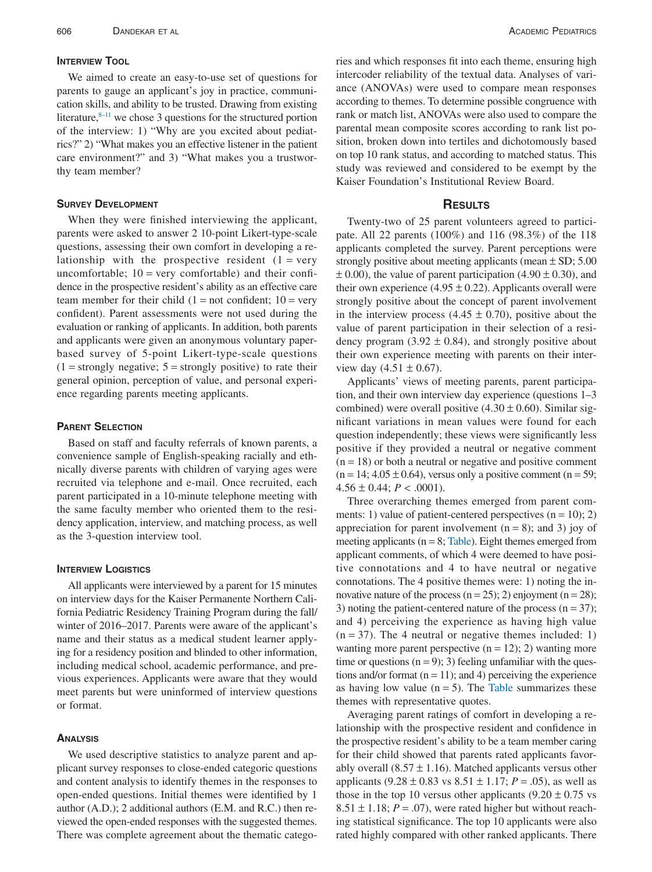# **INTERVIEW TOOL**

We aimed to create an easy-to-use set of questions for parents to gauge an applicant's joy in practice, communication skills, and ability to be trusted. Drawing from existing literature, $8-11$  we chose 3 questions for the structured portion of the interview: 1) "Why are you excited about pediatrics?" 2) "What makes you an effective listener in the patient care environment?" and 3) "What makes you a trustworthy team member?

#### **SURVEY DEVELOPMENT**

When they were finished interviewing the applicant, parents were asked to answer 2 10-point Likert-type-scale questions, assessing their own comfort in developing a relationship with the prospective resident  $(1 = \text{very})$ uncomfortable;  $10 = \text{very comfortable}$ ) and their confidence in the prospective resident's ability as an effective care team member for their child  $(1 = not confident; 10 = very$ confident). Parent assessments were not used during the evaluation or ranking of applicants. In addition, both parents and applicants were given an anonymous voluntary paperbased survey of 5-point Likert-type-scale questions  $(1 =$  strongly negative;  $5 =$  strongly positive) to rate their general opinion, perception of value, and personal experience regarding parents meeting applicants.

#### **PARENT SELECTION**

Based on staff and faculty referrals of known parents, a convenience sample of English-speaking racially and ethnically diverse parents with children of varying ages were recruited via telephone and e-mail. Once recruited, each parent participated in a 10-minute telephone meeting with the same faculty member who oriented them to the residency application, interview, and matching process, as well as the 3-question interview tool.

#### **INTERVIEW LOGISTICS**

All applicants were interviewed by a parent for 15 minutes on interview days for the Kaiser Permanente Northern California Pediatric Residency Training Program during the fall/ winter of 2016–2017. Parents were aware of the applicant's name and their status as a medical student learner applying for a residency position and blinded to other information, including medical school, academic performance, and previous experiences. Applicants were aware that they would meet parents but were uninformed of interview questions or format.

#### **ANALYSIS**

We used descriptive statistics to analyze parent and applicant survey responses to close-ended categoric questions and content analysis to identify themes in the responses to open-ended questions. Initial themes were identified by 1 author (A.D.); 2 additional authors (E.M. and R.C.) then reviewed the open-ended responses with the suggested themes. There was complete agreement about the thematic categories and which responses fit into each theme, ensuring high intercoder reliability of the textual data. Analyses of variance (ANOVAs) were used to compare mean responses according to themes. To determine possible congruence with rank or match list, ANOVAs were also used to compare the parental mean composite scores according to rank list position, broken down into tertiles and dichotomously based on top 10 rank status, and according to matched status. This study was reviewed and considered to be exempt by the Kaiser Foundation's Institutional Review Board.

#### **RESULTS**

Twenty-two of 25 parent volunteers agreed to participate. All 22 parents (100%) and 116 (98.3%) of the 118 applicants completed the survey. Parent perceptions were strongly positive about meeting applicants (mean  $\pm$  SD; 5.00  $\pm$  0.00), the value of parent participation (4.90  $\pm$  0.30), and their own experience (4.95  $\pm$  0.22). Applicants overall were strongly positive about the concept of parent involvement in the interview process  $(4.45 \pm 0.70)$ , positive about the value of parent participation in their selection of a residency program (3.92  $\pm$  0.84), and strongly positive about their own experience meeting with parents on their interview day  $(4.51 \pm 0.67)$ .

Applicants' views of meeting parents, parent participation, and their own interview day experience (questions 1–3 combined) were overall positive  $(4.30 \pm 0.60)$ . Similar significant variations in mean values were found for each question independently; these views were significantly less positive if they provided a neutral or negative comment  $(n = 18)$  or both a neutral or negative and positive comment  $(n = 14; 4.05 \pm 0.64)$ , versus only a positive comment  $(n = 59;$  $4.56 \pm 0.44$ ;  $P < .0001$ ).

Three overarching themes emerged from parent comments: 1) value of patient-centered perspectives  $(n = 10)$ ; 2) appreciation for parent involvement  $(n = 8)$ ; and 3) joy of meeting applicants ( $n = 8$ ; [Table\)](#page-2-0). Eight themes emerged from applicant comments, of which 4 were deemed to have positive connotations and 4 to have neutral or negative connotations. The 4 positive themes were: 1) noting the innovative nature of the process  $(n = 25)$ ; 2) enjoyment  $(n = 28)$ ; 3) noting the patient-centered nature of the process  $(n = 37)$ ; and 4) perceiving the experience as having high value  $(n = 37)$ . The 4 neutral or negative themes included: 1) wanting more parent perspective  $(n = 12)$ ; 2) wanting more time or questions  $(n = 9)$ ; 3) feeling unfamiliar with the questions and/or format  $(n = 11)$ ; and 4) perceiving the experience as having low value  $(n = 5)$ . The [Table](#page-2-0) summarizes these themes with representative quotes.

Averaging parent ratings of comfort in developing a relationship with the prospective resident and confidence in the prospective resident's ability to be a team member caring for their child showed that parents rated applicants favorably overall  $(8.57 \pm 1.16)$ . Matched applicants versus other applicants  $(9.28 \pm 0.83 \text{ vs } 8.51 \pm 1.17; P = .05)$ , as well as those in the top 10 versus other applicants  $(9.20 \pm 0.75 \text{ vs }$  $8.51 \pm 1.18$ ;  $P = .07$ ), were rated higher but without reaching statistical significance. The top 10 applicants were also rated highly compared with other ranked applicants. There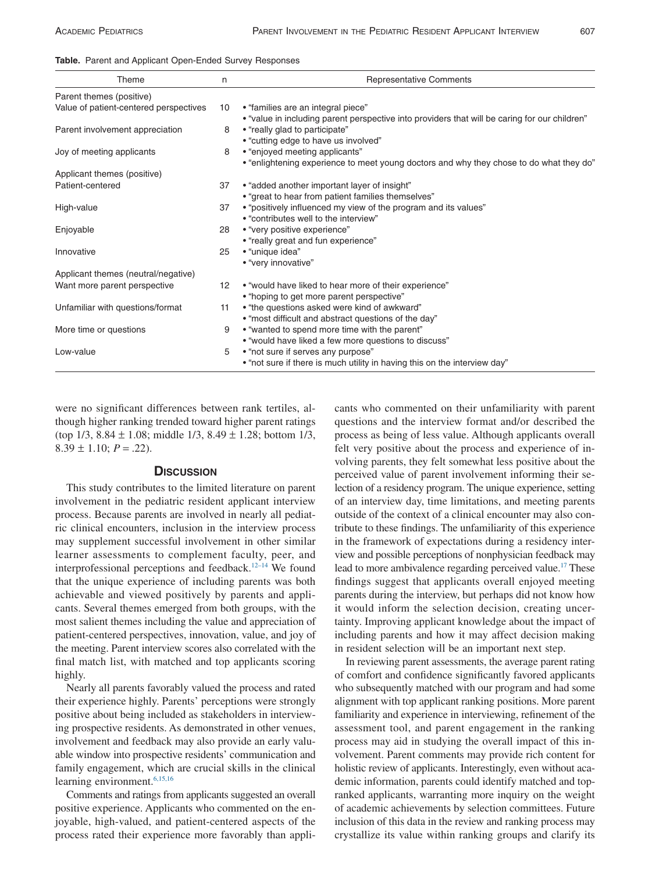<span id="page-2-0"></span>

|  |  |  |  | Table. Parent and Applicant Open-Ended Survey Responses |  |  |
|--|--|--|--|---------------------------------------------------------|--|--|
|--|--|--|--|---------------------------------------------------------|--|--|

| Theme                                  | n               | <b>Representative Comments</b>                                                                                                      |
|----------------------------------------|-----------------|-------------------------------------------------------------------------------------------------------------------------------------|
| Parent themes (positive)               |                 |                                                                                                                                     |
| Value of patient-centered perspectives | 10              | • "families are an integral piece"<br>• "value in including parent perspective into providers that will be caring for our children" |
| Parent involvement appreciation        | 8               | • "really glad to participate"<br>• "cutting edge to have us involved"                                                              |
| Joy of meeting applicants              | 8               | • "enjoyed meeting applicants"<br>• "enlightening experience to meet young doctors and why they chose to do what they do"           |
| Applicant themes (positive)            |                 |                                                                                                                                     |
| Patient-centered                       | 37              | • "added another important layer of insight"<br>• "great to hear from patient families themselves"                                  |
| High-value                             | 37              | • "positively influenced my view of the program and its values"<br>• "contributes well to the interview"                            |
| Enjoyable                              | 28              | • "very positive experience"<br>• "really great and fun experience"                                                                 |
| Innovative                             | 25              | • "unique idea"<br>• "very innovative"                                                                                              |
| Applicant themes (neutral/negative)    |                 |                                                                                                                                     |
| Want more parent perspective           | 12 <sup>°</sup> | • "would have liked to hear more of their experience"<br>• "hoping to get more parent perspective"                                  |
| Unfamiliar with questions/format       | 11              | • "the questions asked were kind of awkward"<br>• "most difficult and abstract questions of the day"                                |
| More time or questions                 | 9               | • "wanted to spend more time with the parent"<br>• "would have liked a few more questions to discuss"                               |
| Low-value                              | 5               | • "not sure if serves any purpose"<br>• "not sure if there is much utility in having this on the interview day"                     |

were no significant differences between rank tertiles, although higher ranking trended toward higher parent ratings (top 1/3, 8.84 ± 1.08; middle 1/3, 8.49 ± 1.28; bottom 1/3,  $8.39 \pm 1.10$ ;  $P = .22$ ).

# **DISCUSSION**

This study contributes to the limited literature on parent involvement in the pediatric resident applicant interview process. Because parents are involved in nearly all pediatric clinical encounters, inclusion in the interview process may supplement successful involvement in other similar learner assessments to complement faculty, peer, and interprofessional perceptions and feedback.<sup>12-14</sup> We found that the unique experience of including parents was both achievable and viewed positively by parents and applicants. Several themes emerged from both groups, with the most salient themes including the value and appreciation of patient-centered perspectives, innovation, value, and joy of the meeting. Parent interview scores also correlated with the final match list, with matched and top applicants scoring highly.

Nearly all parents favorably valued the process and rated their experience highly. Parents' perceptions were strongly positive about being included as stakeholders in interviewing prospective residents. As demonstrated in other venues, involvement and feedback may also provide an early valuable window into prospective residents' communication and family engagement, which are crucial skills in the clinical learning environment.<sup>6,15,16</sup>

Comments and ratings from applicants suggested an overall positive experience. Applicants who commented on the enjoyable, high-valued, and patient-centered aspects of the process rated their experience more favorably than applicants who commented on their unfamiliarity with parent questions and the interview format and/or described the process as being of less value. Although applicants overall felt very positive about the process and experience of involving parents, they felt somewhat less positive about the perceived value of parent involvement informing their selection of a residency program. The unique experience, setting of an interview day, time limitations, and meeting parents outside of the context of a clinical encounter may also contribute to these findings. The unfamiliarity of this experience in the framework of expectations during a residency interview and possible perceptions of nonphysician feedback may lead to more ambivalence regarding perceived value.<sup>17</sup> These findings suggest that applicants overall enjoyed meeting parents during the interview, but perhaps did not know how it would inform the selection decision, creating uncertainty. Improving applicant knowledge about the impact of including parents and how it may affect decision making in resident selection will be an important next step.

In reviewing parent assessments, the average parent rating of comfort and confidence significantly favored applicants who subsequently matched with our program and had some alignment with top applicant ranking positions. More parent familiarity and experience in interviewing, refinement of the assessment tool, and parent engagement in the ranking process may aid in studying the overall impact of this involvement. Parent comments may provide rich content for holistic review of applicants. Interestingly, even without academic information, parents could identify matched and topranked applicants, warranting more inquiry on the weight of academic achievements by selection committees. Future inclusion of this data in the review and ranking process may crystallize its value within ranking groups and clarify its